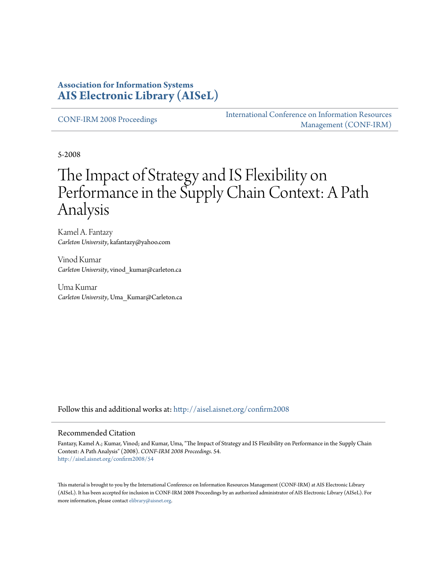### **Association for Information Systems [AIS Electronic Library \(AISeL\)](http://aisel.aisnet.org?utm_source=aisel.aisnet.org%2Fconfirm2008%2F54&utm_medium=PDF&utm_campaign=PDFCoverPages)**

[CONF-IRM 2008 Proceedings](http://aisel.aisnet.org/confirm2008?utm_source=aisel.aisnet.org%2Fconfirm2008%2F54&utm_medium=PDF&utm_campaign=PDFCoverPages)

[International Conference on Information Resources](http://aisel.aisnet.org/conf-irm?utm_source=aisel.aisnet.org%2Fconfirm2008%2F54&utm_medium=PDF&utm_campaign=PDFCoverPages) [Management \(CONF-IRM\)](http://aisel.aisnet.org/conf-irm?utm_source=aisel.aisnet.org%2Fconfirm2008%2F54&utm_medium=PDF&utm_campaign=PDFCoverPages)

5-2008

# The Impact of Strategy and IS Flexibility on Performance in the Supply Chain Context: A Path Analysis

Kamel A. Fantazy *Carleton University*, kafantazy@yahoo.com

Vinod Kumar *Carleton University*, vinod\_kumar@carleton.ca

Uma Kumar *Carleton University*, Uma\_Kumar@Carleton.ca

Follow this and additional works at: [http://aisel.aisnet.org/confirm2008](http://aisel.aisnet.org/confirm2008?utm_source=aisel.aisnet.org%2Fconfirm2008%2F54&utm_medium=PDF&utm_campaign=PDFCoverPages)

#### Recommended Citation

Fantazy, Kamel A.; Kumar, Vinod; and Kumar, Uma, "The Impact of Strategy and IS Flexibility on Performance in the Supply Chain Context: A Path Analysis" (2008). *CONF-IRM 2008 Proceedings*. 54. [http://aisel.aisnet.org/confirm2008/54](http://aisel.aisnet.org/confirm2008/54?utm_source=aisel.aisnet.org%2Fconfirm2008%2F54&utm_medium=PDF&utm_campaign=PDFCoverPages)

This material is brought to you by the International Conference on Information Resources Management (CONF-IRM) at AIS Electronic Library (AISeL). It has been accepted for inclusion in CONF-IRM 2008 Proceedings by an authorized administrator of AIS Electronic Library (AISeL). For more information, please contact [elibrary@aisnet.org.](mailto:elibrary@aisnet.org%3E)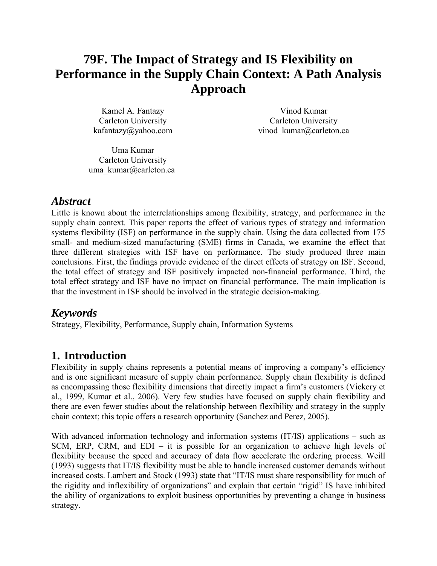# **79F. The Impact of Strategy and IS Flexibility on Performance in the Supply Chain Context: A Path Analysis Approach**

Kamel A. Fantazy Carleton University kafantazy@yahoo.com

Vinod Kumar Carleton University vinod kumar@carleton.ca

Uma Kumar Carleton University uma kumar@carleton.ca

# *Abstract*

Little is known about the interrelationships among flexibility, strategy, and performance in the supply chain context. This paper reports the effect of various types of strategy and information systems flexibility (ISF) on performance in the supply chain. Using the data collected from 175 small- and medium-sized manufacturing (SME) firms in Canada, we examine the effect that three different strategies with ISF have on performance. The study produced three main conclusions. First, the findings provide evidence of the direct effects of strategy on ISF. Second, the total effect of strategy and ISF positively impacted non-financial performance. Third, the total effect strategy and ISF have no impact on financial performance. The main implication is that the investment in ISF should be involved in the strategic decision-making.

# *Keywords*

Strategy, Flexibility, Performance, Supply chain, Information Systems

# **1. Introduction**

Flexibility in supply chains represents a potential means of improving a company's efficiency and is one significant measure of supply chain performance. Supply chain flexibility is defined as encompassing those flexibility dimensions that directly impact a firm's customers (Vickery et al., 1999, Kumar et al., 2006). Very few studies have focused on supply chain flexibility and there are even fewer studies about the relationship between flexibility and strategy in the supply chain context; this topic offers a research opportunity (Sanchez and Perez, 2005).

With advanced information technology and information systems (IT/IS) applications – such as SCM, ERP, CRM, and EDI – it is possible for an organization to achieve high levels of flexibility because the speed and accuracy of data flow accelerate the ordering process. Weill (1993) suggests that IT/IS flexibility must be able to handle increased customer demands without increased costs. Lambert and Stock (1993) state that "IT/IS must share responsibility for much of the rigidity and inflexibility of organizations" and explain that certain "rigid" IS have inhibited the ability of organizations to exploit business opportunities by preventing a change in business strategy.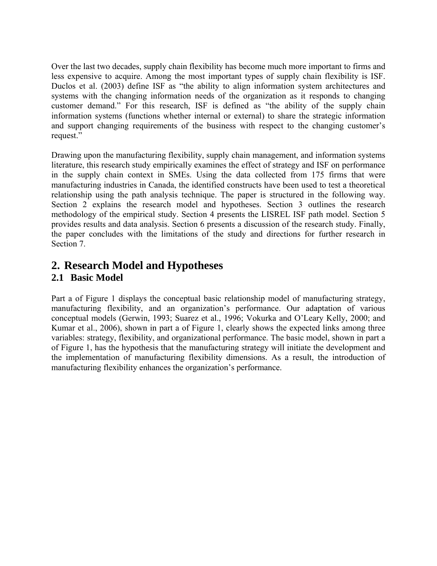Over the last two decades, supply chain flexibility has become much more important to firms and less expensive to acquire. Among the most important types of supply chain flexibility is ISF. Duclos et al. (2003) define ISF as "the ability to align information system architectures and systems with the changing information needs of the organization as it responds to changing customer demand." For this research, ISF is defined as "the ability of the supply chain information systems (functions whether internal or external) to share the strategic information and support changing requirements of the business with respect to the changing customer's request."

Drawing upon the manufacturing flexibility, supply chain management, and information systems literature, this research study empirically examines the effect of strategy and ISF on performance in the supply chain context in SMEs. Using the data collected from 175 firms that were manufacturing industries in Canada, the identified constructs have been used to test a theoretical relationship using the path analysis technique. The paper is structured in the following way. Section 2 explains the research model and hypotheses. Section 3 outlines the research methodology of the empirical study. Section 4 presents the LISREL ISF path model. Section 5 provides results and data analysis. Section 6 presents a discussion of the research study. Finally, the paper concludes with the limitations of the study and directions for further research in Section 7.

# **2. Research Model and Hypotheses**

#### **2.1 Basic Model**

Part a of Figure 1 displays the conceptual basic relationship model of manufacturing strategy, manufacturing flexibility, and an organization's performance. Our adaptation of various conceptual models (Gerwin, 1993; Suarez et al., 1996; Vokurka and O'Leary Kelly, 2000; and Kumar et al., 2006), shown in part a of Figure 1, clearly shows the expected links among three variables: strategy, flexibility, and organizational performance. The basic model, shown in part a of Figure 1, has the hypothesis that the manufacturing strategy will initiate the development and the implementation of manufacturing flexibility dimensions. As a result, the introduction of manufacturing flexibility enhances the organization's performance.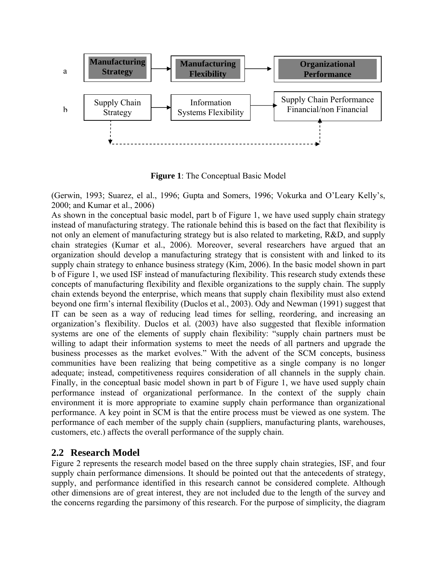

**Figure 1**: The Conceptual Basic Model

(Gerwin, 1993; Suarez, el al., 1996; Gupta and Somers, 1996; Vokurka and O'Leary Kelly's, 2000; and Kumar et al., 2006)

As shown in the conceptual basic model, part b of Figure 1, we have used supply chain strategy instead of manufacturing strategy. The rationale behind this is based on the fact that flexibility is not only an element of manufacturing strategy but is also related to marketing, R&D, and supply chain strategies (Kumar et al., 2006). Moreover, several researchers have argued that an organization should develop a manufacturing strategy that is consistent with and linked to its supply chain strategy to enhance business strategy (Kim, 2006). In the basic model shown in part b of Figure 1, we used ISF instead of manufacturing flexibility. This research study extends these concepts of manufacturing flexibility and flexible organizations to the supply chain. The supply chain extends beyond the enterprise, which means that supply chain flexibility must also extend beyond one firm's internal flexibility (Duclos et al., 2003). Ody and Newman (1991) suggest that IT can be seen as a way of reducing lead times for selling, reordering, and increasing an organization's flexibility. Duclos et al*.* (2003) have also suggested that flexible information systems are one of the elements of supply chain flexibility: "supply chain partners must be willing to adapt their information systems to meet the needs of all partners and upgrade the business processes as the market evolves." With the advent of the SCM concepts, business communities have been realizing that being competitive as a single company is no longer adequate; instead, competitiveness requires consideration of all channels in the supply chain. Finally, in the conceptual basic model shown in part b of Figure 1, we have used supply chain performance instead of organizational performance. In the context of the supply chain environment it is more appropriate to examine supply chain performance than organizational performance. A key point in SCM is that the entire process must be viewed as one system. The performance of each member of the supply chain (suppliers, manufacturing plants, warehouses, customers, etc.) affects the overall performance of the supply chain.

#### **2.2 Research Model**

Figure 2 represents the research model based on the three supply chain strategies, ISF, and four supply chain performance dimensions. It should be pointed out that the antecedents of strategy, supply, and performance identified in this research cannot be considered complete. Although other dimensions are of great interest, they are not included due to the length of the survey and the concerns regarding the parsimony of this research. For the purpose of simplicity, the diagram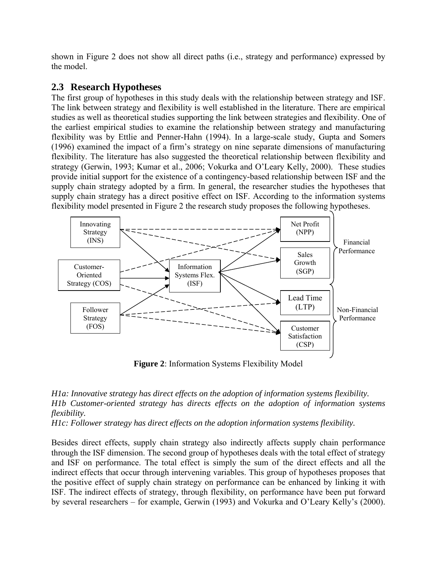shown in Figure 2 does not show all direct paths (i.e., strategy and performance) expressed by the model.

#### **2.3 Research Hypotheses**

The first group of hypotheses in this study deals with the relationship between strategy and ISF. The link between strategy and flexibility is well established in the literature. There are empirical studies as well as theoretical studies supporting the link between strategies and flexibility. One of the earliest empirical studies to examine the relationship between strategy and manufacturing flexibility was by Ettlie and Penner-Hahn (1994). In a large-scale study, Gupta and Somers (1996) examined the impact of a firm's strategy on nine separate dimensions of manufacturing flexibility. The literature has also suggested the theoretical relationship between flexibility and strategy (Gerwin, 1993; Kumar et al., 2006; Vokurka and O'Leary Kelly, 2000). These studies provide initial support for the existence of a contingency-based relationship between ISF and the supply chain strategy adopted by a firm. In general, the researcher studies the hypotheses that supply chain strategy has a direct positive effect on ISF. According to the information systems flexibility model presented in Figure 2 the research study proposes the following hypotheses.



**Figure 2**: Information Systems Flexibility Model

#### *H1a: Innovative strategy has direct effects on the adoption of information systems flexibility. H1b Customer-oriented strategy has directs effects on the adoption of information systems flexibility.*

*H1c: Follower strategy has direct effects on the adoption information systems flexibility.* 

Besides direct effects, supply chain strategy also indirectly affects supply chain performance through the ISF dimension. The second group of hypotheses deals with the total effect of strategy and ISF on performance. The total effect is simply the sum of the direct effects and all the indirect effects that occur through intervening variables. This group of hypotheses proposes that the positive effect of supply chain strategy on performance can be enhanced by linking it with ISF. The indirect effects of strategy, through flexibility, on performance have been put forward by several researchers – for example, Gerwin (1993) and Vokurka and O'Leary Kelly's (2000).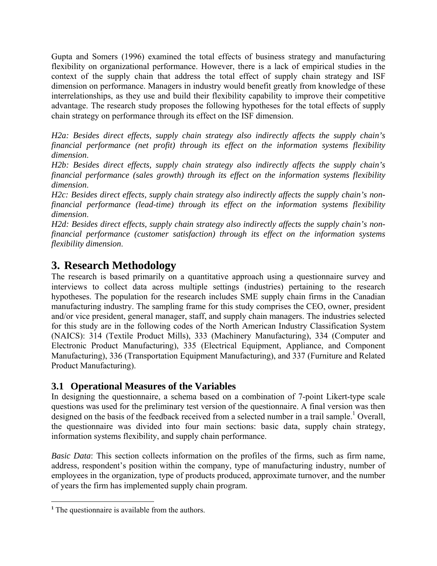Gupta and Somers (1996) examined the total effects of business strategy and manufacturing flexibility on organizational performance. However, there is a lack of empirical studies in the context of the supply chain that address the total effect of supply chain strategy and ISF dimension on performance. Managers in industry would benefit greatly from knowledge of these interrelationships, as they use and build their flexibility capability to improve their competitive advantage. The research study proposes the following hypotheses for the total effects of supply chain strategy on performance through its effect on the ISF dimension.

*H2a: Besides direct effects, supply chain strategy also indirectly affects the supply chain's financial performance (net profit) through its effect on the information systems flexibility dimension*.

*H2b: Besides direct effects, supply chain strategy also indirectly affects the supply chain's financial performance (sales growth) through its effect on the information systems flexibility dimension*.

*H2c: Besides direct effects, supply chain strategy also indirectly affects the supply chain's nonfinancial performance (lead-time) through its effect on the information systems flexibility dimension*.

*H2d: Besides direct effects, supply chain strategy also indirectly affects the supply chain's nonfinancial performance (customer satisfaction) through its effect on the information systems flexibility dimension*.

# **3. Research Methodology**

The research is based primarily on a quantitative approach using a questionnaire survey and interviews to collect data across multiple settings (industries) pertaining to the research hypotheses. The population for the research includes SME supply chain firms in the Canadian manufacturing industry. The sampling frame for this study comprises the CEO, owner, president and/or vice president, general manager, staff, and supply chain managers. The industries selected for this study are in the following codes of the North American Industry Classification System (NAICS): 314 (Textile Product Mills), 333 (Machinery Manufacturing), 334 (Computer and Electronic Product Manufacturing), 335 (Electrical Equipment, Appliance, and Component Manufacturing), 336 (Transportation Equipment Manufacturing), and 337 (Furniture and Related Product Manufacturing).

## **3.1 Operational Measures of the Variables**

In designing the questionnaire, a schema based on a combination of 7-point Likert-type scale questions was used for the preliminary test version of the questionnaire. A final version was then designed on the basis of the feedback received from a selected number in a trail sample.<sup>1</sup> Overall, the questionnaire was divided into four main sections: basic data, supply chain strategy, information systems flexibility, and supply chain performance.

*Basic Data*: This section collects information on the profiles of the firms, such as firm name, address, respondent's position within the company, type of manufacturing industry, number of employees in the organization, type of products produced, approximate turnover, and the number of years the firm has implemented supply chain program.

<u>.</u>

**<sup>1</sup>** The questionnaire is available from the authors.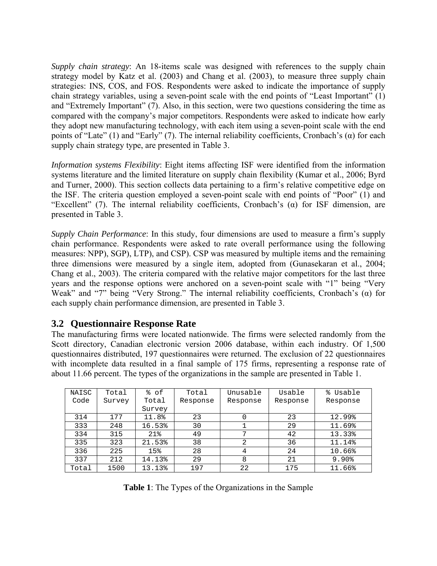*Supply chain strategy*: An 18-items scale was designed with references to the supply chain strategy model by Katz et al. (2003) and Chang et al. (2003), to measure three supply chain strategies: INS, COS, and FOS. Respondents were asked to indicate the importance of supply chain strategy variables, using a seven-point scale with the end points of "Least Important" (1) and "Extremely Important" (7). Also, in this section, were two questions considering the time as compared with the company's major competitors. Respondents were asked to indicate how early they adopt new manufacturing technology, with each item using a seven-point scale with the end points of "Late" (1) and "Early" (7). The internal reliability coefficients, Cronbach's  $(\alpha)$  for each supply chain strategy type, are presented in Table 3.

*Information systems Flexibility*: Eight items affecting ISF were identified from the information systems literature and the limited literature on supply chain flexibility (Kumar et al., 2006; Byrd and Turner, 2000). This section collects data pertaining to a firm's relative competitive edge on the ISF. The criteria question employed a seven-point scale with end points of "Poor" (1) and "Excellent" (7). The internal reliability coefficients, Cronbach's (α) for ISF dimension, are presented in Table 3.

*Supply Chain Performance*: In this study, four dimensions are used to measure a firm's supply chain performance. Respondents were asked to rate overall performance using the following measures: NPP), SGP), LTP), and CSP). CSP was measured by multiple items and the remaining three dimensions were measured by a single item, adopted from (Gunasekaran et al., 2004; Chang et al., 2003). The criteria compared with the relative major competitors for the last three years and the response options were anchored on a seven-point scale with "1" being "Very Weak" and "7" being "Very Strong." The internal reliability coefficients, Cronbach's (α) for each supply chain performance dimension, are presented in Table 3.

#### **3.2 Questionnaire Response Rate**

The manufacturing firms were located nationwide. The firms were selected randomly from the Scott directory, Canadian electronic version 2006 database, within each industry. Of 1,500 questionnaires distributed, 197 questionnaires were returned. The exclusion of 22 questionnaires with incomplete data resulted in a final sample of 175 firms, representing a response rate of about 11.66 percent. The types of the organizations in the sample are presented in Table 1.

| % of<br>NAISC<br>°<br>Unusable<br>Usable<br>Usable<br>Total<br>Total<br>Code<br>Total<br>Survey<br>Response<br>Response<br>Response<br>Response<br>Survey<br>11.8%<br>314<br>23<br>12.99%<br>177<br>23<br>333<br>248<br>16.53%<br>30<br>29<br>11.69%<br>21%<br>13.33%<br>334<br>315<br>49<br>7<br>42<br>335<br>323<br>38<br>36<br>21.53%<br>2<br>11.14%<br>336<br>225<br>15%<br>28<br>24<br>10.66%<br>4<br>337<br>212<br>14.13%<br>29<br>21<br>9.90%<br>8 |       |      |        |     |    |     |        |
|-----------------------------------------------------------------------------------------------------------------------------------------------------------------------------------------------------------------------------------------------------------------------------------------------------------------------------------------------------------------------------------------------------------------------------------------------------------|-------|------|--------|-----|----|-----|--------|
|                                                                                                                                                                                                                                                                                                                                                                                                                                                           |       |      |        |     |    |     |        |
|                                                                                                                                                                                                                                                                                                                                                                                                                                                           |       |      |        |     |    |     |        |
|                                                                                                                                                                                                                                                                                                                                                                                                                                                           |       |      |        |     |    |     |        |
|                                                                                                                                                                                                                                                                                                                                                                                                                                                           |       |      |        |     |    |     |        |
|                                                                                                                                                                                                                                                                                                                                                                                                                                                           |       |      |        |     |    |     |        |
|                                                                                                                                                                                                                                                                                                                                                                                                                                                           |       |      |        |     |    |     |        |
|                                                                                                                                                                                                                                                                                                                                                                                                                                                           |       |      |        |     |    |     |        |
|                                                                                                                                                                                                                                                                                                                                                                                                                                                           |       |      |        |     |    |     |        |
|                                                                                                                                                                                                                                                                                                                                                                                                                                                           |       |      |        |     |    |     |        |
|                                                                                                                                                                                                                                                                                                                                                                                                                                                           | Total | 1500 | 13.13% | 197 | 22 | 175 | 11.66% |

**Table 1**: The Types of the Organizations in the Sample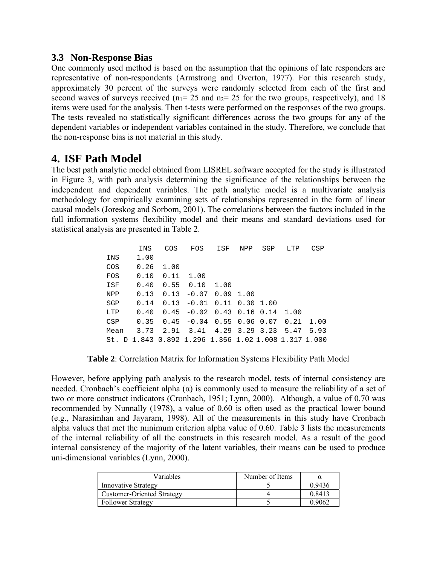#### **3.3 Non-Response Bias**

One commonly used method is based on the assumption that the opinions of late responders are representative of non-respondents (Armstrong and Overton, 1977). For this research study, approximately 30 percent of the surveys were randomly selected from each of the first and second waves of surveys received ( $n_1$ = 25 and  $n_2$ = 25 for the two groups, respectively), and 18 items were used for the analysis. Then t-tests were performed on the responses of the two groups. The tests revealed no statistically significant differences across the two groups for any of the dependent variables or independent variables contained in the study. Therefore, we conclude that the non-response bias is not material in this study.

# **4. ISF Path Model**

The best path analytic model obtained from LISREL software accepted for the study is illustrated in Figure 3, with path analysis determining the significance of the relationships between the independent and dependent variables. The path analytic model is a multivariate analysis methodology for empirically examining sets of relationships represented in the form of linear causal models (Joreskog and Sorbom, 2001). The correlations between the factors included in the full information systems flexibility model and their means and standard deviations used for statistical analysis are presented in Table 2.

|      | INS  | COS  | FOS                                                  | ISF                  | NPP  | SGP | LTP  | CSP  |
|------|------|------|------------------------------------------------------|----------------------|------|-----|------|------|
| INS  | 1.00 |      |                                                      |                      |      |     |      |      |
| COS  | 0.26 | 1.00 |                                                      |                      |      |     |      |      |
| FOS  | 0.10 | 0.11 | 1.00                                                 |                      |      |     |      |      |
| ISF  | 0.40 | 0.55 | 0.10                                                 | 1.00                 |      |     |      |      |
| NPP  | 0.13 | 0.13 | $-0.07$                                              | 0.09                 | 1.00 |     |      |      |
| SGP  | 0.14 | 0.13 | $-0.01$                                              | $0.11$ $0.30$ $1.00$ |      |     |      |      |
| LTP  | 0.40 |      | $0.45 -0.02$ $0.43$ $0.16$ $0.14$ 1.00               |                      |      |     |      |      |
| CSP  | 0.35 |      | $0.45 -0.04$ 0.55 0.06 0.07 0.21                     |                      |      |     |      | 1.00 |
| Mean | 3.73 | 2.91 | 3.41 4.29 3.29 3.23                                  |                      |      |     | 5.47 | 5.93 |
|      |      |      | St. D 1.843 0.892 1.296 1.356 1.02 1.008 1.317 1.000 |                      |      |     |      |      |

**Table 2**: Correlation Matrix for Information Systems Flexibility Path Model

However, before applying path analysis to the research model, tests of internal consistency are needed. Cronbach's coefficient alpha  $(\alpha)$  is commonly used to measure the reliability of a set of two or more construct indicators (Cronbach, 1951; Lynn, 2000). Although, a value of 0.70 was recommended by Nunnally (1978), a value of 0.60 is often used as the practical lower bound (e.g., Narasimhan and Jayaram, 1998). All of the measurements in this study have Cronbach alpha values that met the minimum criterion alpha value of 0.60. Table 3 lists the measurements of the internal reliability of all the constructs in this research model. As a result of the good internal consistency of the majority of the latent variables, their means can be used to produce uni-dimensional variables (Lynn, 2000).

| Variables                         | Number of Items |        |
|-----------------------------------|-----------------|--------|
| <b>Innovative Strategy</b>        |                 | 0.9436 |
| <b>Customer-Oriented Strategy</b> |                 | 0.8413 |
| <b>Follower Strategy</b>          |                 | 0.9062 |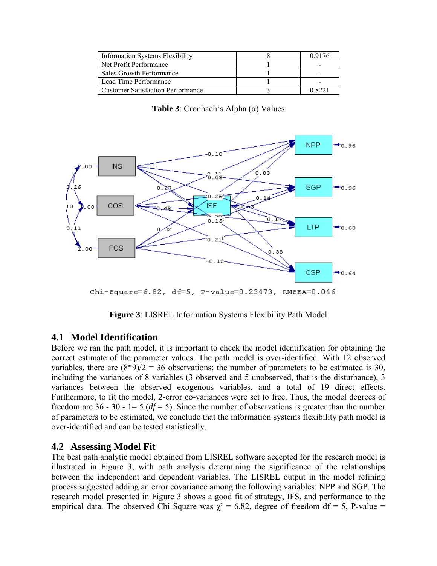| <b>Information Systems Flexibility</b>   | 0.9176 |
|------------------------------------------|--------|
| Net Profit Performance                   |        |
| Sales Growth Performance                 |        |
| Lead Time Performance                    |        |
| <b>Customer Satisfaction Performance</b> |        |

**Table 3**: Cronbach's Alpha (α) Values



Chi-Square=6.82, df=5, P-value=0.23473, RMSEA=0.046

**Figure 3**: LISREL Information Systems Flexibility Path Model

#### **4.1 Model Identification**

Before we ran the path model, it is important to check the model identification for obtaining the correct estimate of the parameter values. The path model is over-identified. With 12 observed variables, there are  $(8*9)/2 = 36$  observations; the number of parameters to be estimated is 30, including the variances of 8 variables (3 observed and 5 unobserved, that is the disturbance), 3 variances between the observed exogenous variables, and a total of 19 direct effects. Furthermore, to fit the model, 2-error co-variances were set to free. Thus, the model degrees of freedom are  $36 - 30 - 1 = 5$  ( $df = 5$ ). Since the number of observations is greater than the number of parameters to be estimated, we conclude that the information systems flexibility path model is over-identified and can be tested statistically.

#### **4.2 Assessing Model Fit**

The best path analytic model obtained from LISREL software accepted for the research model is illustrated in Figure 3, with path analysis determining the significance of the relationships between the independent and dependent variables. The LISREL output in the model refining process suggested adding an error covariance among the following variables: NPP and SGP. The research model presented in Figure 3 shows a good fit of strategy, IFS, and performance to the empirical data. The observed Chi Square was  $\chi^2 = 6.82$ , degree of freedom df = 5, P-value =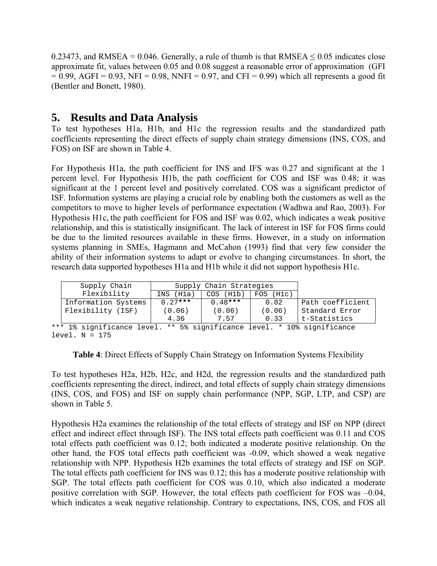0.23473, and RMSEA = 0.046. Generally, a rule of thumb is that RMSEA  $\leq$  0.05 indicates close approximate fit, values between 0.05 and 0.08 suggest a reasonable error of approximation (GFI  $= 0.99$ , AGFI = 0.93, NFI = 0.98, NNFI = 0.97, and CFI = 0.99) which all represents a good fit (Bentler and Bonett, 1980).

# **5. Results and Data Analysis**

To test hypotheses H1a, H1b, and H1c the regression results and the standardized path coefficients representing the direct effects of supply chain strategy dimensions (INS, COS, and FOS) on ISF are shown in Table 4.

For Hypothesis H1a, the path coefficient for INS and IFS was 0.27 and significant at the 1 percent level. For Hypothesis H1b, the path coefficient for COS and ISF was 0.48; it was significant at the 1 percent level and positively correlated. COS was a significant predictor of ISF. Information systems are playing a crucial role by enabling both the customers as well as the competitors to move to higher levels of performance expectation (Wadhwa and Rao, 2003). For Hypothesis H1c, the path coefficient for FOS and ISF was 0.02, which indicates a weak positive relationship, and this is statistically insignificant. The lack of interest in ISF for FOS firms could be due to the limited resources available in these firms. However, in a study on information systems planning in SMEs, Hagmann and McCahon (1993) find that very few consider the ability of their information systems to adapt or evolve to changing circumstances. In short, the research data supported hypotheses H1a and H1b while it did not support hypothesis H1c.

| Supply Chain        | Supply Chain Strategies |           |                 |                  |
|---------------------|-------------------------|-----------|-----------------|------------------|
| Flexibility         | INS (H1a)               | COS (H1b) | $FOS$ ( $H1c$ ) |                  |
| Information Systems | $0.27***$               | $0.48***$ | 0.02            | Path coefficient |
| Flexibility (ISF)   | (0.06)                  | (0.06)    | (0.06)          | Standard Error   |
|                     | 4.36                    | 7.57      | 0.33            | t-Statistics     |

\*\*\* 1% significance level. \*\* 5% significance level. \* 10% significance level.  $N = 175$ 

**Table 4**: Direct Effects of Supply Chain Strategy on Information Systems Flexibility

To test hypotheses H2a, H2b, H2c, and H2d, the regression results and the standardized path coefficients representing the direct, indirect, and total effects of supply chain strategy dimensions (INS, COS, and FOS) and ISF on supply chain performance (NPP, SGP, LTP, and CSP) are shown in Table 5.

Hypothesis H2a examines the relationship of the total effects of strategy and ISF on NPP (direct effect and indirect effect through ISF). The INS total effects path coefficient was 0.11 and COS total effects path coefficient was 0.12; both indicated a moderate positive relationship. On the other hand, the FOS total effects path coefficient was -0.09, which showed a weak negative relationship with NPP. Hypothesis H2b examines the total effects of strategy and ISF on SGP. The total effects path coefficient for INS was 0.12; this has a moderate positive relationship with SGP. The total effects path coefficient for COS was 0.10, which also indicated a moderate positive correlation with SGP. However, the total effects path coefficient for FOS was –0.04, which indicates a weak negative relationship. Contrary to expectations, INS, COS, and FOS all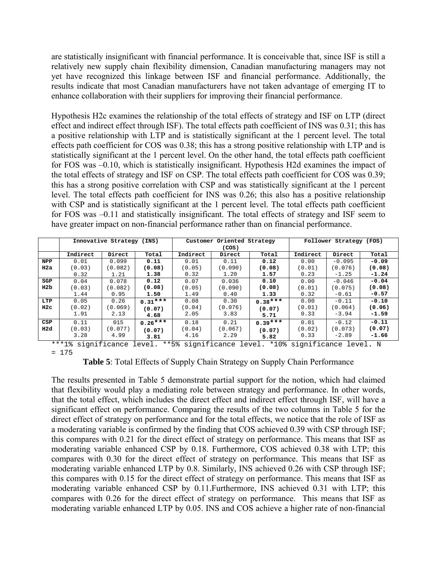are statistically insignificant with financial performance. It is conceivable that, since ISF is still a relatively new supply chain flexibility dimension, Canadian manufacturing managers may not yet have recognized this linkage between ISF and financial performance. Additionally, the results indicate that most Canadian manufacturers have not taken advantage of emerging IT to enhance collaboration with their suppliers for improving their financial performance.

Hypothesis H2c examines the relationship of the total effects of strategy and ISF on LTP (direct effect and indirect effect through ISF). The total effects path coefficient of INS was 0.31; this has a positive relationship with LTP and is statistically significant at the 1 percent level. The total effects path coefficient for COS was 0.38; this has a strong positive relationship with LTP and is statistically significant at the 1 percent level. On the other hand, the total effects path coefficient for FOS was –0.10, which is statistically insignificant. Hypothesis H2d examines the impact of the total effects of strategy and ISF on CSP. The total effects path coefficient for COS was 0.39; this has a strong positive correlation with CSP and was statistically significant at the 1 percent level. The total effects path coefficient for INS was 0.26; this also has a positive relationship with CSP and is statistically significant at the 1 percent level. The total effects path coefficient for FOS was –0.11 and statistically insignificant. The total effects of strategy and ISF seem to have greater impact on non-financial performance rather than on financial performance.

|              | Innovative Strategy (INS) |         |           |          | Customer Oriented Strategy |           |          | Follower Strategy (FOS) |         |  |
|--------------|---------------------------|---------|-----------|----------|----------------------------|-----------|----------|-------------------------|---------|--|
|              |                           |         |           | (COS)    |                            |           |          |                         |         |  |
|              | Indirect                  | Direct  | Total     | Indirect | Direct                     | Total     | Indirect | Direct                  | Total   |  |
| <b>NPP</b>   | 0.01                      | 0.099   | 0.11      | 0.01     | 0.11                       | 0.12      | 0.00     | $-0.095$                | $-0.09$ |  |
| H2a          | (0.03)                    | (0.082) | (0.08)    | (0.05)   | (0.090)                    | (0.08)    | (0.01)   | (0.076)                 | (0.08)  |  |
|              | 0.32                      | 1.21    | 1.38      | 0.32     | 1.20                       | 1.57      | 0.23     | $-1.25$                 | $-1.24$ |  |
| SGP          | 0.04                      | 0.078   | 0.12      | 0.07     | 0.036                      | 0.10      | 0.00     | $-0.046$                | $-0.04$ |  |
| H2b          | (0.03)                    | (0.082) | (0.08)    | (0.05)   | (0.090)                    | (0.08)    | (0.01)   | (0.075)                 | (0.08)  |  |
|              | 1.44                      | 0.95    | 1.50      | 1.49     | 0.40                       | 1.33      | 0.32     | $-0.61$                 | $-0.57$ |  |
| LTP          | 0.05                      | 0.26    | $0.31***$ | 0.08     | 0.30                       | $0.38***$ | 0.00     | $-0.11$                 | $-0.10$ |  |
| $_{\rm H2c}$ | (0.02)                    | (0.069) | (0.07)    | (0.04)   | (0.076)                    | (0.07)    | (0.01)   | (0.064)                 | (0.06)  |  |
|              | 1.91                      | 2.13    | 4.68      | 2.05     | 3.83                       | 5.71      | 0.33     | $-3.94$                 | $-1.59$ |  |
| CSP          | 0.11                      | 015     | $0.26***$ | 0.18     | 0.21                       | $0.39***$ | 0.01     | $-0.12$                 | $-0.11$ |  |
| H2d          | (0.03)                    | (0.077) | (0.07)    | (0.04)   | (0.067)                    | (0.07)    | (0.02)   | (0.073)                 | (0.07)  |  |
|              | 3.28                      | 4.99    | 3.81      | 4.16     | 2.29                       | 5.82      | 0.33     | $-2.89$                 | $-1.66$ |  |

\*\*\*1% significance level. \*\*5% significance level. \*10% significance level**.** N = 175

**Table 5**: Total Effects of Supply Chain Strategy on Supply Chain Performance

The results presented in Table 5 demonstrate partial support for the notion, which had claimed that flexibility would play a mediating role between strategy and performance. In other words, that the total effect, which includes the direct effect and indirect effect through ISF, will have a significant effect on performance. Comparing the results of the two columns in Table 5 for the direct effect of strategy on performance and for the total effects, we notice that the role of ISF as a moderating variable is confirmed by the finding that COS achieved 0.39 with CSP through ISF; this compares with 0.21 for the direct effect of strategy on performance. This means that ISF as moderating variable enhanced CSP by 0.18. Furthermore, COS achieved 0.38 with LTP; this compares with 0.30 for the direct effect of strategy on performance. This means that ISF as moderating variable enhanced LTP by 0.8. Similarly, INS achieved 0.26 with CSP through ISF; this compares with 0.15 for the direct effect of strategy on performance. This means that ISF as moderating variable enhanced CSP by 0.11.Furthermore, INS achieved 0.31 with LTP; this compares with 0.26 for the direct effect of strategy on performance. This means that ISF as moderating variable enhanced LTP by 0.05. INS and COS achieve a higher rate of non-financial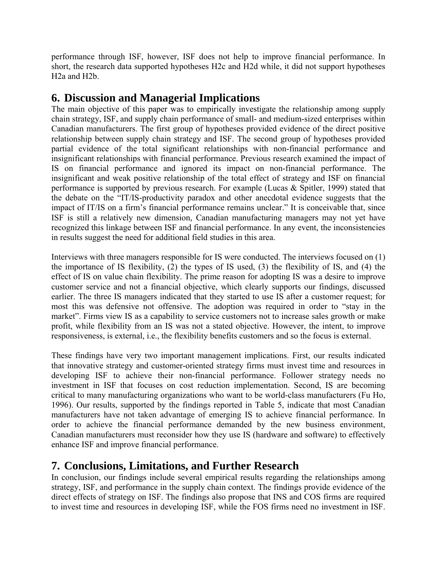performance through ISF, however, ISF does not help to improve financial performance. In short, the research data supported hypotheses H2c and H2d while, it did not support hypotheses H2a and H2b.

# **6. Discussion and Managerial Implications**

The main objective of this paper was to empirically investigate the relationship among supply chain strategy, ISF, and supply chain performance of small- and medium-sized enterprises within Canadian manufacturers. The first group of hypotheses provided evidence of the direct positive relationship between supply chain strategy and ISF. The second group of hypotheses provided partial evidence of the total significant relationships with non-financial performance and insignificant relationships with financial performance. Previous research examined the impact of IS on financial performance and ignored its impact on non-financial performance. The insignificant and weak positive relationship of the total effect of strategy and ISF on financial performance is supported by previous research. For example (Lucas & Spitler, 1999) stated that the debate on the "IT/IS-productivity paradox and other anecdotal evidence suggests that the impact of IT/IS on a firm's financial performance remains unclear." It is conceivable that, since ISF is still a relatively new dimension, Canadian manufacturing managers may not yet have recognized this linkage between ISF and financial performance. In any event, the inconsistencies in results suggest the need for additional field studies in this area.

Interviews with three managers responsible for IS were conducted. The interviews focused on (1) the importance of IS flexibility, (2) the types of IS used, (3) the flexibility of IS, and (4) the effect of IS on value chain flexibility. The prime reason for adopting IS was a desire to improve customer service and not a financial objective, which clearly supports our findings, discussed earlier. The three IS managers indicated that they started to use IS after a customer request; for most this was defensive not offensive. The adoption was required in order to "stay in the market". Firms view IS as a capability to service customers not to increase sales growth or make profit, while flexibility from an IS was not a stated objective. However, the intent, to improve responsiveness, is external, i.e., the flexibility benefits customers and so the focus is external.

These findings have very two important management implications. First, our results indicated that innovative strategy and customer-oriented strategy firms must invest time and resources in developing ISF to achieve their non-financial performance. Follower strategy needs no investment in ISF that focuses on cost reduction implementation. Second, IS are becoming critical to many manufacturing organizations who want to be world-class manufacturers (Fu Ho, 1996). Our results, supported by the findings reported in Table 5, indicate that most Canadian manufacturers have not taken advantage of emerging IS to achieve financial performance. In order to achieve the financial performance demanded by the new business environment, Canadian manufacturers must reconsider how they use IS (hardware and software) to effectively enhance ISF and improve financial performance.

# **7. Conclusions, Limitations, and Further Research**

In conclusion, our findings include several empirical results regarding the relationships among strategy, ISF, and performance in the supply chain context. The findings provide evidence of the direct effects of strategy on ISF. The findings also propose that INS and COS firms are required to invest time and resources in developing ISF, while the FOS firms need no investment in ISF.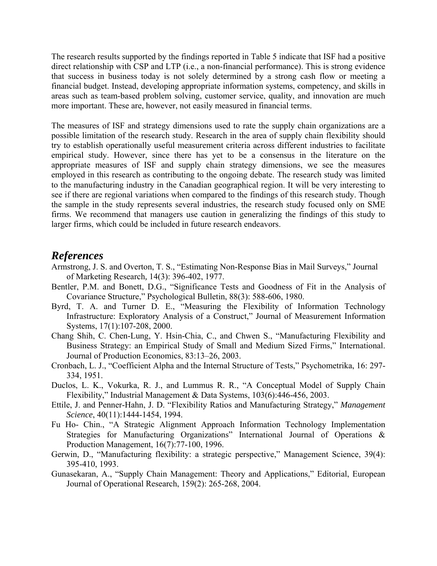The research results supported by the findings reported in Table 5 indicate that ISF had a positive direct relationship with CSP and LTP (i.e., a non-financial performance). This is strong evidence that success in business today is not solely determined by a strong cash flow or meeting a financial budget. Instead, developing appropriate information systems, competency, and skills in areas such as team-based problem solving, customer service, quality, and innovation are much more important. These are, however, not easily measured in financial terms.

The measures of ISF and strategy dimensions used to rate the supply chain organizations are a possible limitation of the research study. Research in the area of supply chain flexibility should try to establish operationally useful measurement criteria across different industries to facilitate empirical study. However, since there has yet to be a consensus in the literature on the appropriate measures of ISF and supply chain strategy dimensions, we see the measures employed in this research as contributing to the ongoing debate. The research study was limited to the manufacturing industry in the Canadian geographical region. It will be very interesting to see if there are regional variations when compared to the findings of this research study. Though the sample in the study represents several industries, the research study focused only on SME firms. We recommend that managers use caution in generalizing the findings of this study to larger firms, which could be included in future research endeavors.

#### *References*

- Armstrong, J. S. and Overton, T. S., "Estimating Non-Response Bias in Mail Surveys," Journal of Marketing Research*,* 14(3): 396-402, 1977.
- Bentler, P.M. and Bonett, D.G., "Significance Tests and Goodness of Fit in the Analysis of Covariance Structure," Psychological Bulletin, 88(3): 588-606, 1980.
- Byrd, T. A. and Turner D. E., "Measuring the Flexibility of Information Technology Infrastructure: Exploratory Analysis of a Construct," Journal of Measurement Information Systems, 17(1):107-208, 2000.
- Chang Shih, C. Chen-Lung, Y. Hsin-Chia, C., and Chwen S., "Manufacturing Flexibility and Business Strategy: an Empirical Study of Small and Medium Sized Firms," International. Journal of Production Economics, 83:13–26, 2003.
- Cronbach, L. J., "Coefficient Alpha and the Internal Structure of Tests," Psychometrika, 16: 297- 334, 1951.
- Duclos, L. K., Vokurka, R. J., and Lummus R. R., "A Conceptual Model of Supply Chain Flexibility," Industrial Management & Data Systems, 103(6):446-456, 2003.
- Ettile, J. and Penner-Hahn, J. D. "Flexibility Ratios and Manufacturing Strategy," *Management Science*, 40(11):1444-1454, 1994.
- Fu Ho- Chin., "A Strategic Alignment Approach Information Technology Implementation Strategies for Manufacturing Organizations" International Journal of Operations & Production Management, 16(7):77-100, 1996.
- Gerwin, D., "Manufacturing flexibility: a strategic perspective," Management Science, 39(4): 395-410, 1993.
- Gunasekaran, A., "Supply Chain Management: Theory and Applications," Editorial, European Journal of Operational Research, 159(2): 265-268, 2004.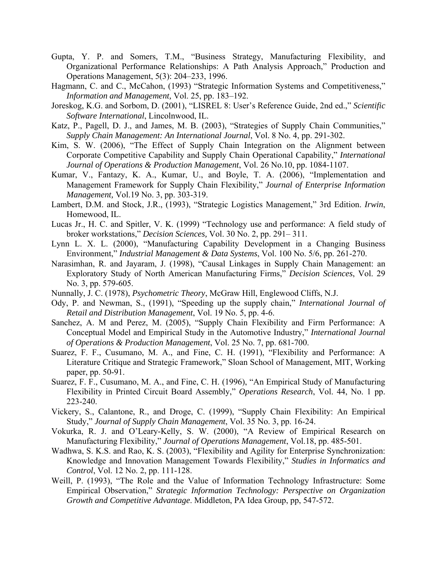- Gupta, Y. P. and Somers, T.M., "Business Strategy, Manufacturing Flexibility, and Organizational Performance Relationships: A Path Analysis Approach," Production and Operations Management, 5(3): 204–233, 1996.
- Hagmann, C. and C., McCahon, (1993) "Strategic Information Systems and Competitiveness," *Information and Management,* Vol. 25, pp. 183–192.
- Joreskog, K.G. and Sorbom, D. (2001), "LISREL 8: User's Reference Guide, 2nd ed.," *Scientific Software International*, Lincolnwood, IL.
- Katz, P., Pagell, D. J., and James, M. B. (2003), "Strategies of Supply Chain Communities," *Supply Chain Management: An International Journal*, Vol. 8 No. 4, pp. 291-302.
- Kim, S. W. (2006), "The Effect of Supply Chain Integration on the Alignment between Corporate Competitive Capability and Supply Chain Operational Capability," *International Journal of Operations & Production Management*, Vol. 26 No.10, pp. 1084-1107.
- Kumar, V., Fantazy, K. A., Kumar, U., and Boyle, T. A. (2006), "Implementation and Management Framework for Supply Chain Flexibility," *Journal of Enterprise Information Management,* Vol.19 No. 3, pp. 303-319.
- Lambert, D.M. and Stock, J.R., (1993), "Strategic Logistics Management," 3rd Edition. *Irwin*, Homewood, IL.
- Lucas Jr., H. C. and Spitler, V. K. (1999) "Technology use and performance: A field study of broker workstations," *Decision Sciences,* Vol. 30 No. 2, pp. 291– 311.
- Lynn L. X. L. (2000), "Manufacturing Capability Development in a Changing Business Environment," *Industrial Management & Data Systems*, Vol. 100 No. 5/6, pp. 261-270.
- Narasimhan, R. and Jayaram, J. (1998), "Causal Linkages in Supply Chain Management: an Exploratory Study of North American Manufacturing Firms," *Decision Sciences*, Vol. 29 No. 3, pp. 579-605.
- Nunnally, J. C. (1978), *Psychometric Theory*, McGraw Hill, Englewood Cliffs, N.J.
- Ody, P. and Newman, S., (1991), "Speeding up the supply chain," *International Journal of Retail and Distribution Management*, Vol. 19 No. 5, pp. 4-6.
- Sanchez, A. M and Perez, M. (2005), "Supply Chain Flexibility and Firm Performance: A Conceptual Model and Empirical Study in the Automotive Industry," *International Journal of Operations & Production Management*, Vol. 25 No. 7, pp. 681-700.
- Suarez, F. F., Cusumano, M. A., and Fine, C. H. (1991), "Flexibility and Performance: A Literature Critique and Strategic Framework," Sloan School of Management, MIT, Working paper, pp. 50-91.
- Suarez, F. F., Cusumano, M. A., and Fine, C. H. (1996), "An Empirical Study of Manufacturing Flexibility in Printed Circuit Board Assembly," *Operations Research*, Vol. 44, No. 1 pp. 223-240.
- Vickery, S., Calantone, R., and Droge, C. (1999), "Supply Chain Flexibility: An Empirical Study," *Journal of Supply Chain Management*, Vol. 35 No. 3, pp. 16-24.
- Vokurka, R. J. and O'Leary-Kelly, S. W. (2000), "A Review of Empirical Research on Manufacturing Flexibility," *Journal of Operations Management*, Vol.18, pp. 485-501.
- Wadhwa, S. K.S. and Rao, K. S. (2003), "Flexibility and Agility for Enterprise Synchronization: Knowledge and Innovation Management Towards Flexibility," *Studies in Informatics and Control*, Vol. 12 No. 2, pp. 111-128.
- Weill, P. (1993), "The Role and the Value of Information Technology Infrastructure: Some Empirical Observation," *Strategic Information Technology: Perspective on Organization Growth and Competitive Advantage*. Middleton, PA Idea Group, pp, 547-572.